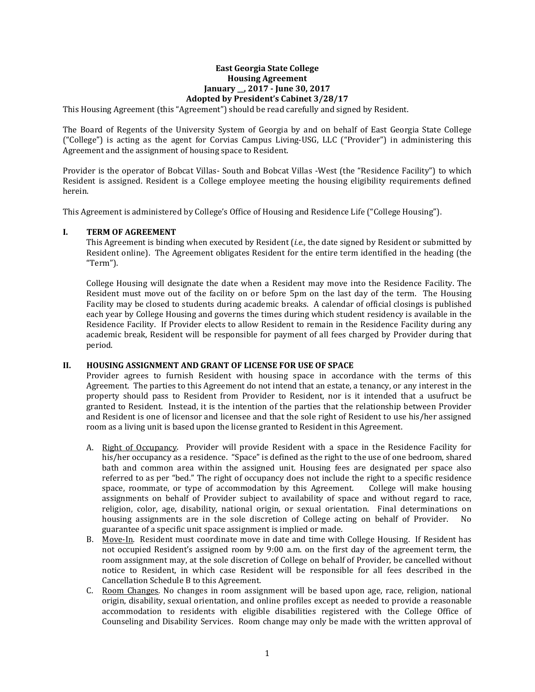## **East Georgia State College Housing Agreement January \_\_, 2017 - June 30, 2017 Adopted by President's Cabinet 3/28/17**

This Housing Agreement (this "Agreement") should be read carefully and signed by Resident.

The Board of Regents of the University System of Georgia by and on behalf of East Georgia State College ("College") is acting as the agent for Corvias Campus Living-USG, LLC ("Provider") in administering this Agreement and the assignment of housing space to Resident.

Provider is the operator of Bobcat Villas- South and Bobcat Villas -West (the "Residence Facility") to which Resident is assigned. Resident is a College employee meeting the housing eligibility requirements defined herein.

This Agreement is administered by College's Office of Housing and Residence Life ("College Housing").

#### **I. TERM OF AGREEMENT**

This Agreement is binding when executed by Resident (*i.e.,* the date signed by Resident or submitted by Resident online). The Agreement obligates Resident for the entire term identified in the heading (the "Term").

College Housing will designate the date when a Resident may move into the Residence Facility. The Resident must move out of the facility on or before 5pm on the last day of the term. The Housing Facility may be closed to students during academic breaks. A calendar of official closings is published each year by College Housing and governs the times during which student residency is available in the Residence Facility. If Provider elects to allow Resident to remain in the Residence Facility during any academic break, Resident will be responsible for payment of all fees charged by Provider during that period.

## **II. HOUSING ASSIGNMENT AND GRANT OF LICENSE FOR USE OF SPACE**

Provider agrees to furnish Resident with housing space in accordance with the terms of this Agreement. The parties to this Agreement do not intend that an estate, a tenancy, or any interest in the property should pass to Resident from Provider to Resident, nor is it intended that a usufruct be granted to Resident. Instead, it is the intention of the parties that the relationship between Provider and Resident is one of licensor and licensee and that the sole right of Resident to use his/her assigned room as a living unit is based upon the license granted to Resident in this Agreement.

- A. Right of Occupancy. Provider will provide Resident with a space in the Residence Facility for his/her occupancy as a residence. "Space" is defined as the right to the use of one bedroom, shared bath and common area within the assigned unit. Housing fees are designated per space also referred to as per "bed." The right of occupancy does not include the right to a specific residence<br>space, roommate, or type of accommodation by this Agreement. College will make housing space, roommate, or type of accommodation by this Agreement. assignments on behalf of Provider subject to availability of space and without regard to race, religion, color, age, disability, national origin, or sexual orientation. Final determinations on housing assignments are in the sole discretion of College acting on behalf of Provider. No housing assignments are in the sole discretion of College acting on behalf of Provider. guarantee of a specific unit space assignment is implied or made.
- B. Move-In. Resident must coordinate move in date and time with College Housing. If Resident has not occupied Resident's assigned room by 9:00 a.m. on the first day of the agreement term, the room assignment may, at the sole discretion of College on behalf of Provider, be cancelled without notice to Resident, in which case Resident will be responsible for all fees described in the Cancellation Schedule B to this Agreement.
- C. Room Changes. No changes in room assignment will be based upon age, race, religion, national origin, disability, sexual orientation, and online profiles except as needed to provide a reasonable accommodation to residents with eligible disabilities registered with the College Office of Counseling and Disability Services. Room change may only be made with the written approval of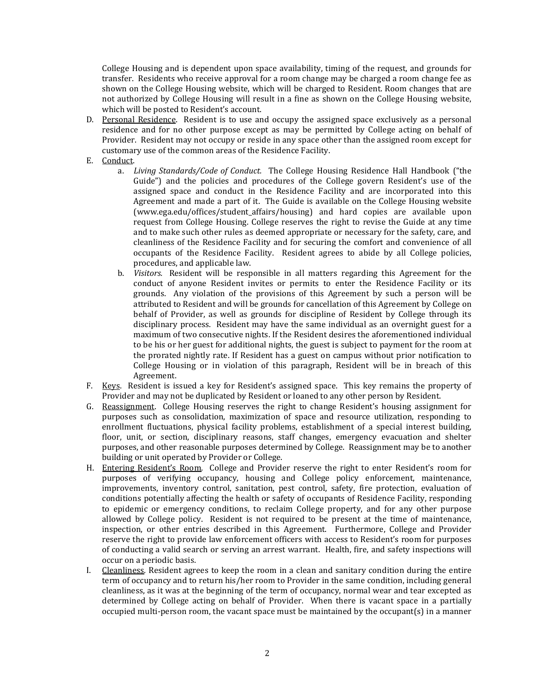College Housing and is dependent upon space availability, timing of the request, and grounds for transfer. Residents who receive approval for a room change may be charged a room change fee as shown on the College Housing website, which will be charged to Resident. Room changes that are not authorized by College Housing will result in a fine as shown on the College Housing website, which will be posted to Resident's account.

- D. Personal Residence. Resident is to use and occupy the assigned space exclusively as a personal residence and for no other purpose except as may be permitted by College acting on behalf of Provider. Resident may not occupy or reside in any space other than the assigned room except for customary use of the common areas of the Residence Facility.
- E. Conduct.
	- a. *Living Standards/Code of Conduct.* The College Housing Residence Hall Handbook ("the Guide") and the policies and procedures of the College govern Resident's use of the assigned space and conduct in the Residence Facility and are incorporated into this Agreement and made a part of it. The Guide is available on the College Housing website (www.ega.edu/offices/student\_affairs/housing) and hard copies are available upon request from College Housing. College reserves the right to revise the Guide at any time and to make such other rules as deemed appropriate or necessary for the safety, care, and cleanliness of the Residence Facility and for securing the comfort and convenience of all occupants of the Residence Facility. Resident agrees to abide by all College policies, procedures, and applicable law.
	- b. *Visitors.* Resident will be responsible in all matters regarding this Agreement for the conduct of anyone Resident invites or permits to enter the Residence Facility or its grounds. Any violation of the provisions of this Agreement by such a person will be attributed to Resident and will be grounds for cancellation of this Agreement by College on behalf of Provider, as well as grounds for discipline of Resident by College through its disciplinary process. Resident may have the same individual as an overnight guest for a maximum of two consecutive nights. If the Resident desires the aforementioned individual to be his or her guest for additional nights, the guest is subject to payment for the room at the prorated nightly rate. If Resident has a guest on campus without prior notification to College Housing or in violation of this paragraph, Resident will be in breach of this Agreement.
- F. Keys. Resident is issued a key for Resident's assigned space. This key remains the property of Provider and may not be duplicated by Resident or loaned to any other person by Resident.
- G. Reassignment. College Housing reserves the right to change Resident's housing assignment for purposes such as consolidation, maximization of space and resource utilization, responding to enrollment fluctuations, physical facility problems, establishment of a special interest building, floor, unit, or section, disciplinary reasons, staff changes, emergency evacuation and shelter purposes, and other reasonable purposes determined by College. Reassignment may be to another building or unit operated by Provider or College.
- H. Entering Resident's Room. College and Provider reserve the right to enter Resident's room for purposes of verifying occupancy, housing and College policy enforcement, maintenance, improvements, inventory control, sanitation, pest control, safety, fire protection, evaluation of conditions potentially affecting the health or safety of occupants of Residence Facility, responding to epidemic or emergency conditions, to reclaim College property, and for any other purpose allowed by College policy. Resident is not required to be present at the time of maintenance, inspection, or other entries described in this Agreement. Furthermore, College and Provider reserve the right to provide law enforcement officers with access to Resident's room for purposes of conducting a valid search or serving an arrest warrant. Health, fire, and safety inspections will occur on a periodic basis.
- I. Cleanliness. Resident agrees to keep the room in a clean and sanitary condition during the entire term of occupancy and to return his/her room to Provider in the same condition, including general cleanliness, as it was at the beginning of the term of occupancy, normal wear and tear excepted as determined by College acting on behalf of Provider. When there is vacant space in a partially occupied multi-person room, the vacant space must be maintained by the occupant(s) in a manner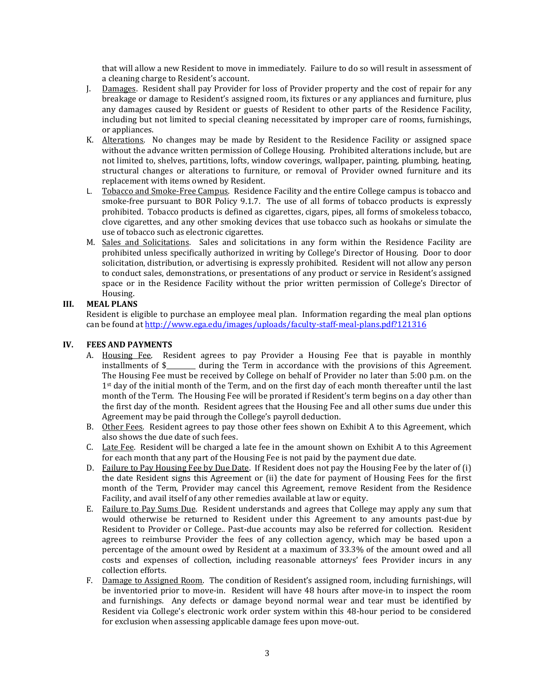that will allow a new Resident to move in immediately. Failure to do so will result in assessment of a cleaning charge to Resident's account.

- J. Damages. Resident shall pay Provider for loss of Provider property and the cost of repair for any breakage or damage to Resident's assigned room, its fixtures or any appliances and furniture, plus any damages caused by Resident or guests of Resident to other parts of the Residence Facility, including but not limited to special cleaning necessitated by improper care of rooms, furnishings, or appliances.
- K. Alterations. No changes may be made by Resident to the Residence Facility or assigned space without the advance written permission of College Housing. Prohibited alterations include, but are not limited to, shelves, partitions, lofts, window coverings, wallpaper, painting, plumbing, heating, structural changes or alterations to furniture, or removal of Provider owned furniture and its replacement with items owned by Resident.
- L. Tobacco and Smoke-Free Campus. Residence Facility and the entire College campus is tobacco and smoke-free pursuant to BOR Policy 9.1.7. The use of all forms of tobacco products is expressly prohibited. Tobacco products is defined as cigarettes, cigars, pipes, all forms of smokeless tobacco, clove cigarettes, and any other smoking devices that use tobacco such as hookahs or simulate the use of tobacco such as electronic cigarettes.
- M. Sales and Solicitations. Sales and solicitations in any form within the Residence Facility are prohibited unless specifically authorized in writing by College's Director of Housing. Door to door solicitation, distribution, or advertising is expressly prohibited. Resident will not allow any person to conduct sales, demonstrations, or presentations of any product or service in Resident's assigned space or in the Residence Facility without the prior written permission of College's Director of Housing.

# **III. MEAL PLANS**

Resident is eligible to purchase an employee meal plan. Information regarding the meal plan options can be found a[t http://www.ega.edu/images/uploads/faculty-staff-meal-plans.pdf?121316](http://www.ega.edu/images/uploads/faculty-staff-meal-plans.pdf?121316)

## **IV. FEES AND PAYMENTS**

- A. Housing Fee. Resident agrees to pay Provider a Housing Fee that is payable in monthly installments of \$\_\_\_\_\_\_\_\_\_ during the Term in accordance with the provisions of this Agreement. The Housing Fee must be received by College on behalf of Provider no later than 5:00 p.m. on the 1st day of the initial month of the Term, and on the first day of each month thereafter until the last month of the Term. The Housing Fee will be prorated if Resident's term begins on a day other than the first day of the month. Resident agrees that the Housing Fee and all other sums due under this Agreement may be paid through the College's payroll deduction.
- B. Other Fees. Resident agrees to pay those other fees shown on Exhibit A to this Agreement, which also shows the due date of such fees.
- C. Late Fee. Resident will be charged a late fee in the amount shown on Exhibit A to this Agreement for each month that any part of the Housing Fee is not paid by the payment due date.
- D. Failure to Pay Housing Fee by Due Date. If Resident does not pay the Housing Fee by the later of (i) the date Resident signs this Agreement or (ii) the date for payment of Housing Fees for the first month of the Term, Provider may cancel this Agreement, remove Resident from the Residence Facility, and avail itself of any other remedies available at law or equity.
- E. Failure to Pay Sums Due. Resident understands and agrees that College may apply any sum that would otherwise be returned to Resident under this Agreement to any amounts past-due by Resident to Provider or College.. Past-due accounts may also be referred for collection. Resident agrees to reimburse Provider the fees of any collection agency, which may be based upon a percentage of the amount owed by Resident at a maximum of 33.3% of the amount owed and all costs and expenses of collection, including reasonable attorneys' fees Provider incurs in any collection efforts.
- F. Damage to Assigned Room. The condition of Resident's assigned room, including furnishings, will be inventoried prior to move-in. Resident will have 48 hours after move-in to inspect the room and furnishings. Any defects or damage beyond normal wear and tear must be identified by Resident via College's electronic work order system within this 48-hour period to be considered for exclusion when assessing applicable damage fees upon move-out.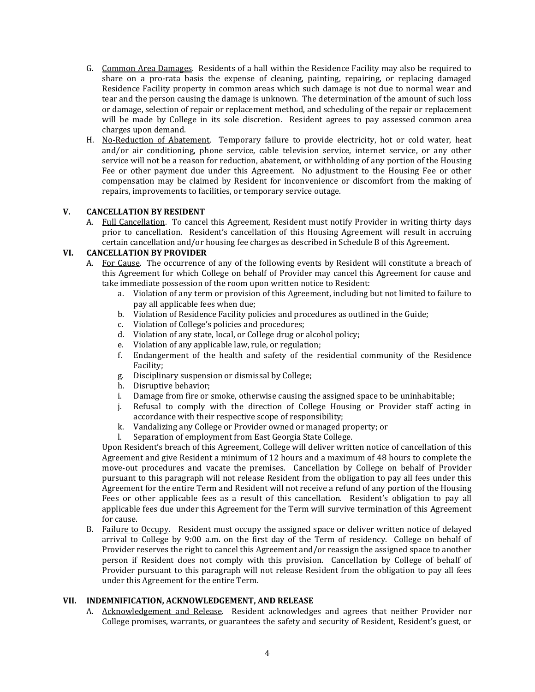- G. Common Area Damages. Residents of a hall within the Residence Facility may also be required to share on a pro-rata basis the expense of cleaning, painting, repairing, or replacing damaged Residence Facility property in common areas which such damage is not due to normal wear and tear and the person causing the damage is unknown. The determination of the amount of such loss or damage, selection of repair or replacement method, and scheduling of the repair or replacement will be made by College in its sole discretion. Resident agrees to pay assessed common area charges upon demand.
- H. No-Reduction of Abatement. Temporary failure to provide electricity, hot or cold water, heat and/or air conditioning, phone service, cable television service, internet service, or any other service will not be a reason for reduction, abatement, or withholding of any portion of the Housing Fee or other payment due under this Agreement. No adjustment to the Housing Fee or other compensation may be claimed by Resident for inconvenience or discomfort from the making of repairs, improvements to facilities, or temporary service outage.

## **V. CANCELLATION BY RESIDENT**

A. Full Cancellation. To cancel this Agreement, Resident must notify Provider in writing thirty days prior to cancellation. Resident's cancellation of this Housing Agreement will result in accruing certain cancellation and/or housing fee charges as described in Schedule B of this Agreement.

## **VI. CANCELLATION BY PROVIDER**

- A. For Cause. The occurrence of any of the following events by Resident will constitute a breach of this Agreement for which College on behalf of Provider may cancel this Agreement for cause and take immediate possession of the room upon written notice to Resident:
	- a. Violation of any term or provision of this Agreement, including but not limited to failure to pay all applicable fees when due;
	- b. Violation of Residence Facility policies and procedures as outlined in the Guide;
	- c. Violation of College's policies and procedures;
	- d. Violation of any state, local, or College drug or alcohol policy;
	- e. Violation of any applicable law, rule, or regulation;
	- f. Endangerment of the health and safety of the residential community of the Residence Facility;
	- g. Disciplinary suspension or dismissal by College;
	- h. Disruptive behavior;<br>i. Damage from fire or s
	- Damage from fire or smoke, otherwise causing the assigned space to be uninhabitable;
	- j. Refusal to comply with the direction of College Housing or Provider staff acting in accordance with their respective scope of responsibility;
	- k. Vandalizing any College or Provider owned or managed property; or <br>l. Separation of employment from East Georgia State College.
	- Separation of employment from East Georgia State College.

Upon Resident's breach of this Agreement, College will deliver written notice of cancellation of this Agreement and give Resident a minimum of 12 hours and a maximum of 48 hours to complete the move-out procedures and vacate the premises. Cancellation by College on behalf of Provider pursuant to this paragraph will not release Resident from the obligation to pay all fees under this Agreement for the entire Term and Resident will not receive a refund of any portion of the Housing Fees or other applicable fees as a result of this cancellation. Resident's obligation to pay all applicable fees due under this Agreement for the Term will survive termination of this Agreement for cause.

B. Failure to Occupy. Resident must occupy the assigned space or deliver written notice of delayed arrival to College by 9:00 a.m. on the first day of the Term of residency. College on behalf of Provider reserves the right to cancel this Agreement and/or reassign the assigned space to another person if Resident does not comply with this provision. Cancellation by College of behalf of Provider pursuant to this paragraph will not release Resident from the obligation to pay all fees under this Agreement for the entire Term.

# **VII. INDEMNIFICATION, ACKNOWLEDGEMENT, AND RELEASE**

A. Acknowledgement and Release. Resident acknowledges and agrees that neither Provider nor College promises, warrants, or guarantees the safety and security of Resident, Resident's guest, or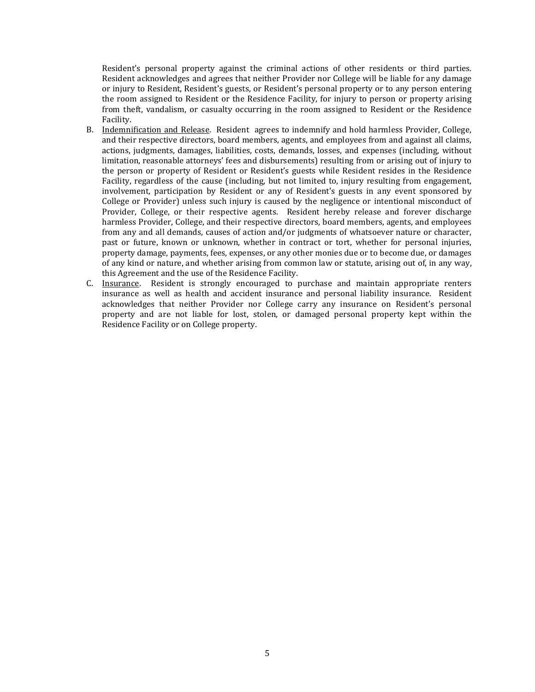Resident's personal property against the criminal actions of other residents or third parties. Resident acknowledges and agrees that neither Provider nor College will be liable for any damage or injury to Resident, Resident's guests, or Resident's personal property or to any person entering the room assigned to Resident or the Residence Facility, for injury to person or property arising from theft, vandalism, or casualty occurring in the room assigned to Resident or the Residence Facility.

- B. Indemnification and Release. Resident agrees to indemnify and hold harmless Provider, College, and their respective directors, board members, agents, and employees from and against all claims, actions, judgments, damages, liabilities, costs, demands, losses, and expenses (including, without limitation, reasonable attorneys' fees and disbursements) resulting from or arising out of injury to the person or property of Resident or Resident's guests while Resident resides in the Residence Facility, regardless of the cause (including, but not limited to, injury resulting from engagement, involvement, participation by Resident or any of Resident's guests in any event sponsored by College or Provider) unless such injury is caused by the negligence or intentional misconduct of Provider, College, or their respective agents. Resident hereby release and forever discharge harmless Provider, College, and their respective directors, board members, agents, and employees from any and all demands, causes of action and/or judgments of whatsoever nature or character, past or future, known or unknown, whether in contract or tort, whether for personal injuries, property damage, payments, fees, expenses, or any other monies due or to become due, or damages of any kind or nature, and whether arising from common law or statute, arising out of, in any way, this Agreement and the use of the Residence Facility.
- C. Insurance. Resident is strongly encouraged to purchase and maintain appropriate renters insurance as well as health and accident insurance and personal liability insurance. Resident acknowledges that neither Provider nor College carry any insurance on Resident's personal property and are not liable for lost, stolen, or damaged personal property kept within the Residence Facility or on College property.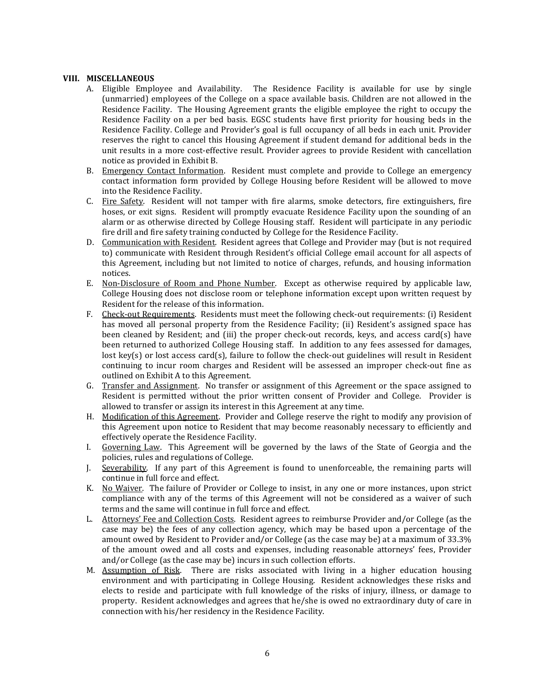### **VIII. MISCELLANEOUS**

- A. Eligible Employee and Availability. The Residence Facility is available for use by single (unmarried) employees of the College on a space available basis. Children are not allowed in the Residence Facility. The Housing Agreement grants the eligible employee the right to occupy the Residence Facility on a per bed basis. EGSC students have first priority for housing beds in the Residence Facility. College and Provider's goal is full occupancy of all beds in each unit. Provider reserves the right to cancel this Housing Agreement if student demand for additional beds in the unit results in a more cost-effective result. Provider agrees to provide Resident with cancellation notice as provided in Exhibit B.
- B. Emergency Contact Information. Resident must complete and provide to College an emergency contact information form provided by College Housing before Resident will be allowed to move into the Residence Facility.
- C. Fire Safety. Resident will not tamper with fire alarms, smoke detectors, fire extinguishers, fire hoses, or exit signs. Resident will promptly evacuate Residence Facility upon the sounding of an alarm or as otherwise directed by College Housing staff. Resident will participate in any periodic fire drill and fire safety training conducted by College for the Residence Facility.
- D. Communication with Resident. Resident agrees that College and Provider may (but is not required to) communicate with Resident through Resident's official College email account for all aspects of this Agreement, including but not limited to notice of charges, refunds, and housing information notices.
- E. Non-Disclosure of Room and Phone Number. Except as otherwise required by applicable law, College Housing does not disclose room or telephone information except upon written request by Resident for the release of this information.
- F. Check-out Requirements. Residents must meet the following check-out requirements: (i) Resident has moved all personal property from the Residence Facility; (ii) Resident's assigned space has been cleaned by Resident; and (iii) the proper check-out records, keys, and access card(s) have been returned to authorized College Housing staff. In addition to any fees assessed for damages, lost key(s) or lost access card(s), failure to follow the check-out guidelines will result in Resident continuing to incur room charges and Resident will be assessed an improper check-out fine as outlined on Exhibit A to this Agreement.
- G. Transfer and Assignment. No transfer or assignment of this Agreement or the space assigned to Resident is permitted without the prior written consent of Provider and College. Provider is allowed to transfer or assign its interest in this Agreement at any time.
- H. Modification of this Agreement. Provider and College reserve the right to modify any provision of this Agreement upon notice to Resident that may become reasonably necessary to efficiently and effectively operate the Residence Facility.
- I. Governing Law. This Agreement will be governed by the laws of the State of Georgia and the policies, rules and regulations of College.
- J. Severability. If any part of this Agreement is found to unenforceable, the remaining parts will continue in full force and effect.
- K. No Waiver. The failure of Provider or College to insist, in any one or more instances, upon strict compliance with any of the terms of this Agreement will not be considered as a waiver of such terms and the same will continue in full force and effect.
- L. Attorneys' Fee and Collection Costs. Resident agrees to reimburse Provider and/or College (as the case may be) the fees of any collection agency, which may be based upon a percentage of the amount owed by Resident to Provider and/or College (as the case may be) at a maximum of 33.3% of the amount owed and all costs and expenses, including reasonable attorneys' fees, Provider and/or College (as the case may be) incurs in such collection efforts.
- M. Assumption of Risk. There are risks associated with living in a higher education housing environment and with participating in College Housing. Resident acknowledges these risks and elects to reside and participate with full knowledge of the risks of injury, illness, or damage to property. Resident acknowledges and agrees that he/she is owed no extraordinary duty of care in connection with his/her residency in the Residence Facility.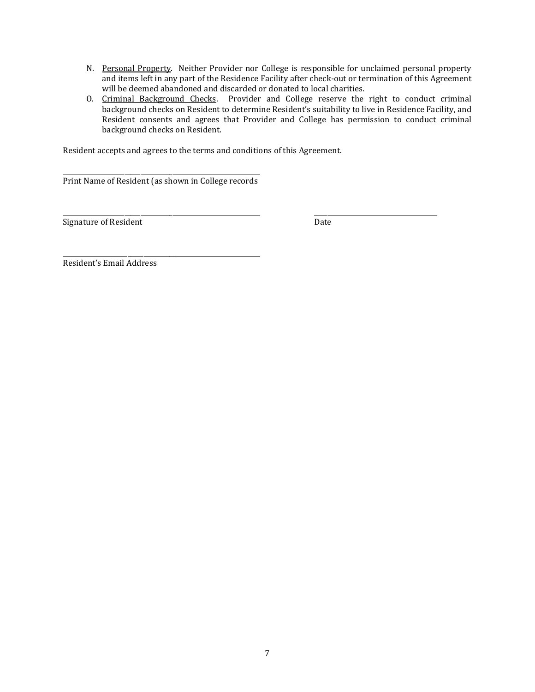- N. Personal Property. Neither Provider nor College is responsible for unclaimed personal property and items left in any part of the Residence Facility after check-out or termination of this Agreement will be deemed abandoned and discarded or donated to local charities.
- O. Criminal Background Checks. Provider and College reserve the right to conduct criminal background checks on Resident to determine Resident's suitability to live in Residence Facility, and Resident consents and agrees that Provider and College has permission to conduct criminal background checks on Resident.

Resident accepts and agrees to the terms and conditions of this Agreement.

\_\_\_\_\_\_\_\_\_\_\_\_\_\_\_\_\_\_\_\_\_\_\_\_\_\_\_\_\_\_\_\_\_\_\_\_\_\_\_\_\_\_\_\_\_\_\_\_\_\_\_\_\_\_\_\_\_\_\_\_\_ Print Name of Resident (as shown in College records

\_\_\_\_\_\_\_\_\_\_\_\_\_\_\_\_\_\_\_\_\_\_\_\_\_\_\_\_\_\_\_\_\_\_\_\_\_\_\_\_\_\_\_\_\_\_\_\_\_\_\_\_\_\_\_\_\_\_\_\_\_ \_\_\_\_\_\_\_\_\_\_\_\_\_\_\_\_\_\_\_\_\_\_\_\_\_\_\_\_\_\_\_\_\_\_\_\_\_\_ Signature of Resident **Date** 

\_\_\_\_\_\_\_\_\_\_\_\_\_\_\_\_\_\_\_\_\_\_\_\_\_\_\_\_\_\_\_\_\_\_\_\_\_\_\_\_\_\_\_\_\_\_\_\_\_\_\_\_\_\_\_\_\_\_\_\_\_ Resident's Email Address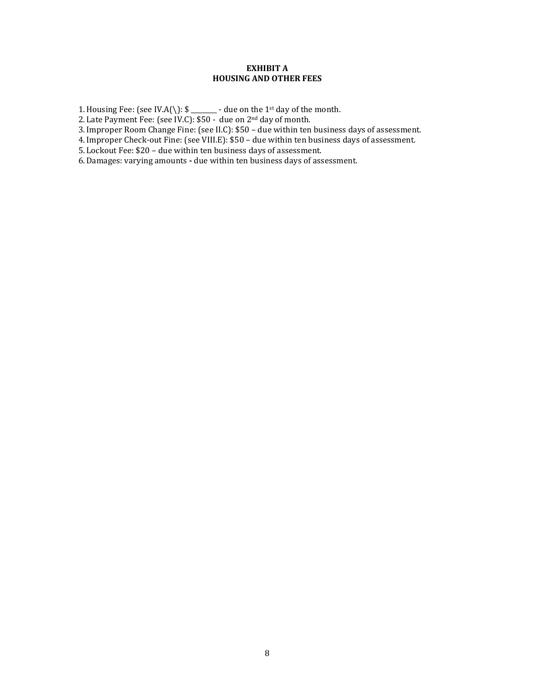### **EXHIBIT A HOUSING AND OTHER FEES**

1. Housing Fee: (see IV.A(\):  $\frac{1}{2}$  - due on the 1<sup>st</sup> day of the month.

2. Late Payment Fee: (see IV.C): \$50 - due on 2nd day of month.

3.Improper Room Change Fine: (see II.C): \$50 – due within ten business days of assessment.

4.Improper Check-out Fine: (see VIII.E): \$50 – due within ten business days of assessment.

5. Lockout Fee: \$20 – due within ten business days of assessment.

6.Damages: varying amounts **-** due within ten business days of assessment.